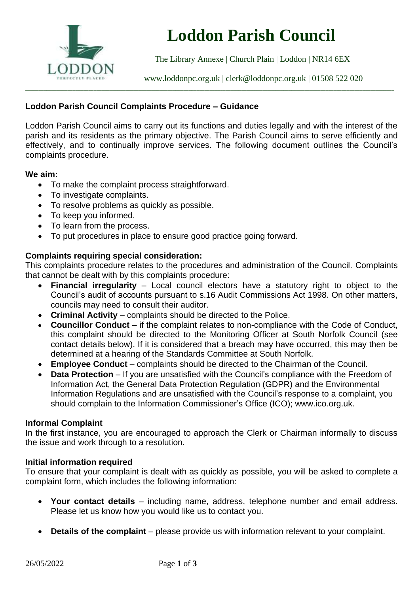

# **Loddon Parish Council**

The Library Annexe | Church Plain | Loddon | NR14 6EX

[www.loddonpc.org.uk](http://www.loddonpc.org.uk/) | [clerk@loddonpc.org.uk](mailto:clerk@loddonpc.org.uk) | 01508 522 020

# **Loddon Parish Council Complaints Procedure – Guidance**

Loddon Parish Council aims to carry out its functions and duties legally and with the interest of the parish and its residents as the primary objective. The Parish Council aims to serve efficiently and effectively, and to continually improve services. The following document outlines the Council's complaints procedure.

\_\_\_\_\_\_\_\_\_\_\_\_\_\_\_\_\_\_\_\_\_\_\_\_\_\_\_\_\_\_\_\_\_\_\_\_\_\_\_\_\_\_\_\_\_\_\_\_\_\_\_\_\_\_\_\_\_\_\_\_\_\_\_\_\_\_\_\_\_\_\_\_\_\_\_\_\_\_\_\_\_\_\_\_\_\_\_\_\_\_\_\_\_\_\_\_\_\_\_\_\_\_\_\_\_\_\_\_\_\_\_\_\_\_\_\_\_\_\_\_\_\_\_\_\_\_\_\_\_\_\_\_\_\_\_\_\_\_\_\_

#### **We aim:**

- To make the complaint process straightforward.
- To investigate complaints.
- To resolve problems as quickly as possible.
- To keep you informed.
- To learn from the process.
- To put procedures in place to ensure good practice going forward.

## **Complaints requiring special consideration:**

This complaints procedure relates to the procedures and administration of the Council. Complaints that cannot be dealt with by this complaints procedure:

- **Financial irregularity** Local council electors have a statutory right to object to the Council's audit of accounts pursuant to s.16 Audit Commissions Act 1998. On other matters, councils may need to consult their auditor.
- **Criminal Activity** complaints should be directed to the Police.
- **Councillor Conduct** if the complaint relates to non-compliance with the Code of Conduct, this complaint should be directed to the Monitoring Officer at South Norfolk Council (see contact details below). If it is considered that a breach may have occurred, this may then be determined at a hearing of the Standards Committee at South Norfolk.
- **Employee Conduct** complaints should be directed to the Chairman of the Council.
- **Data Protection** If you are unsatisfied with the Council's compliance with the Freedom of Information Act, the General Data Protection Regulation (GDPR) and the Environmental Information Regulations and are unsatisfied with the Council's response to a complaint, you should complain to the Information Commissioner's Office (ICO); www.ico.org.uk.

## **Informal Complaint**

In the first instance, you are encouraged to approach the Clerk or Chairman informally to discuss the issue and work through to a resolution.

#### **Initial information required**

To ensure that your complaint is dealt with as quickly as possible, you will be asked to complete a complaint form, which includes the following information:

- **Your contact details** including name, address, telephone number and email address. Please let us know how you would like us to contact you.
- **Details of the complaint** please provide us with information relevant to your complaint.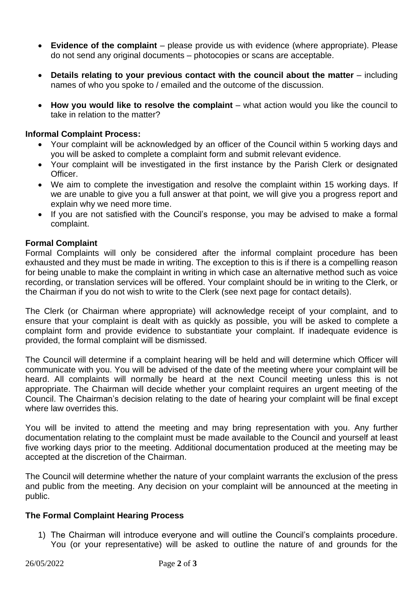- **Evidence of the complaint** please provide us with evidence (where appropriate). Please do not send any original documents – photocopies or scans are acceptable.
- **Details relating to your previous contact with the council about the matter** including names of who you spoke to / emailed and the outcome of the discussion.
- **How you would like to resolve the complaint** what action would you like the council to take in relation to the matter?

# **Informal Complaint Process:**

- Your complaint will be acknowledged by an officer of the Council within 5 working days and you will be asked to complete a complaint form and submit relevant evidence.
- Your complaint will be investigated in the first instance by the Parish Clerk or designated Officer.
- We aim to complete the investigation and resolve the complaint within 15 working days. If we are unable to give you a full answer at that point, we will give you a progress report and explain why we need more time.
- If you are not satisfied with the Council's response, you may be advised to make a formal complaint.

# **Formal Complaint**

Formal Complaints will only be considered after the informal complaint procedure has been exhausted and they must be made in writing. The exception to this is if there is a compelling reason for being unable to make the complaint in writing in which case an alternative method such as voice recording, or translation services will be offered. Your complaint should be in writing to the Clerk, or the Chairman if you do not wish to write to the Clerk (see next page for contact details).

The Clerk (or Chairman where appropriate) will acknowledge receipt of your complaint, and to ensure that your complaint is dealt with as quickly as possible, you will be asked to complete a complaint form and provide evidence to substantiate your complaint. If inadequate evidence is provided, the formal complaint will be dismissed.

The Council will determine if a complaint hearing will be held and will determine which Officer will communicate with you. You will be advised of the date of the meeting where your complaint will be heard. All complaints will normally be heard at the next Council meeting unless this is not appropriate. The Chairman will decide whether your complaint requires an urgent meeting of the Council. The Chairman's decision relating to the date of hearing your complaint will be final except where law overrides this.

You will be invited to attend the meeting and may bring representation with you. Any further documentation relating to the complaint must be made available to the Council and yourself at least five working days prior to the meeting. Additional documentation produced at the meeting may be accepted at the discretion of the Chairman.

The Council will determine whether the nature of your complaint warrants the exclusion of the press and public from the meeting. Any decision on your complaint will be announced at the meeting in public.

## **The Formal Complaint Hearing Process**

1) The Chairman will introduce everyone and will outline the Council's complaints procedure. You (or your representative) will be asked to outline the nature of and grounds for the